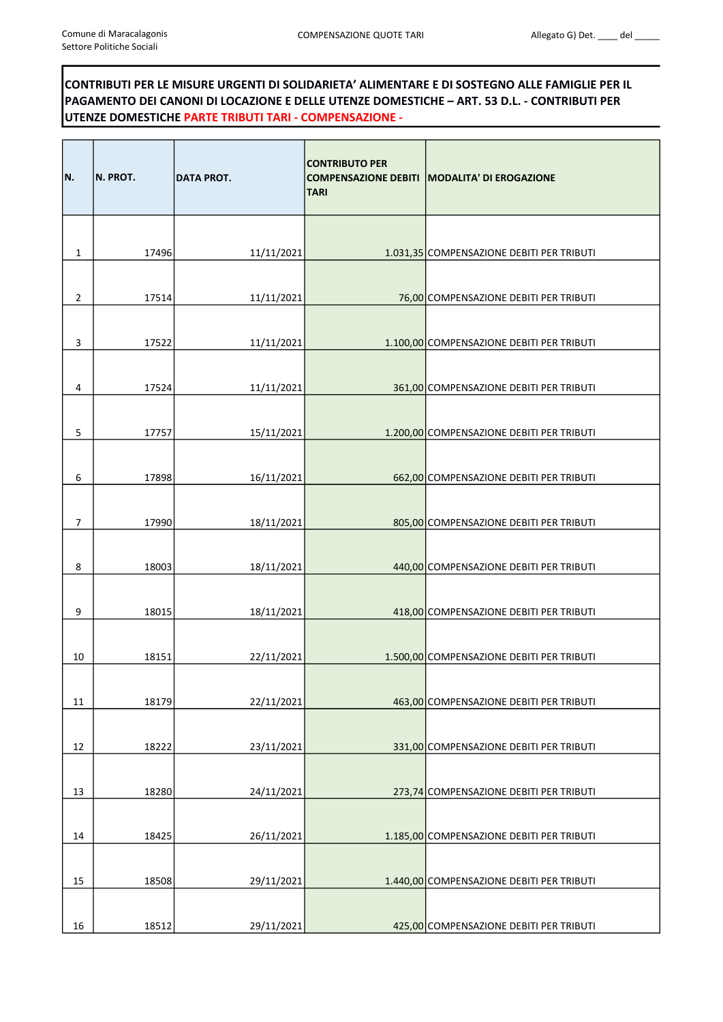## CONTRIBUTI PER LE MISURE URGENTI DI SOLIDARIETA' ALIMENTARE E DI SOSTEGNO ALLE FAMIGLIE PER IL PAGAMENTO DEI CANONI DI LOCAZIONE E DELLE UTENZE DOMESTICHE – ART. 53 D.L. - CONTRIBUTI PER UTENZE DOMESTICHE PARTE TRIBUTI TARI - COMPENSAZIONE -

| IN. | N. PROT. | <b>DATA PROT.</b> | <b>CONTRIBUTO PER</b><br><b>TARI</b> | COMPENSAZIONE DEBITI   MODALITA' DI EROGAZIONE |
|-----|----------|-------------------|--------------------------------------|------------------------------------------------|
| 1   | 17496    | 11/11/2021        |                                      | 1.031,35 COMPENSAZIONE DEBITI PER TRIBUTI      |
| 2   | 17514    | 11/11/2021        |                                      | 76,00 COMPENSAZIONE DEBITI PER TRIBUTI         |
| 3   | 17522    | 11/11/2021        |                                      | 1.100,00 COMPENSAZIONE DEBITI PER TRIBUTI      |
| 4   | 17524    | 11/11/2021        |                                      |                                                |
|     |          |                   |                                      | 361,00 COMPENSAZIONE DEBITI PER TRIBUTI        |
| 5   | 17757    | 15/11/2021        |                                      | 1.200,00 COMPENSAZIONE DEBITI PER TRIBUTI      |
| 6   | 17898    | 16/11/2021        |                                      | 662,00 COMPENSAZIONE DEBITI PER TRIBUTI        |
| 7   | 17990    | 18/11/2021        |                                      | 805,00 COMPENSAZIONE DEBITI PER TRIBUTI        |
| 8   | 18003    | 18/11/2021        |                                      | 440,00 COMPENSAZIONE DEBITI PER TRIBUTI        |
| 9   | 18015    | 18/11/2021        |                                      | 418,00 COMPENSAZIONE DEBITI PER TRIBUTI        |
| 10  | 18151    | 22/11/2021        |                                      | 1.500,00 COMPENSAZIONE DEBITI PER TRIBUTI      |
| 11  | 18179    | 22/11/2021        |                                      | 463,00 COMPENSAZIONE DEBITI PER TRIBUTI        |
| 12  | 18222    | 23/11/2021        |                                      | 331,00 COMPENSAZIONE DEBITI PER TRIBUTI        |
| 13  | 18280    | 24/11/2021        |                                      | 273,74 COMPENSAZIONE DEBITI PER TRIBUTI        |
| 14  | 18425    | 26/11/2021        |                                      | 1.185,00 COMPENSAZIONE DEBITI PER TRIBUTI      |
| 15  | 18508    | 29/11/2021        |                                      | 1.440,00 COMPENSAZIONE DEBITI PER TRIBUTI      |
| 16  | 18512    | 29/11/2021        |                                      | 425,00 COMPENSAZIONE DEBITI PER TRIBUTI        |